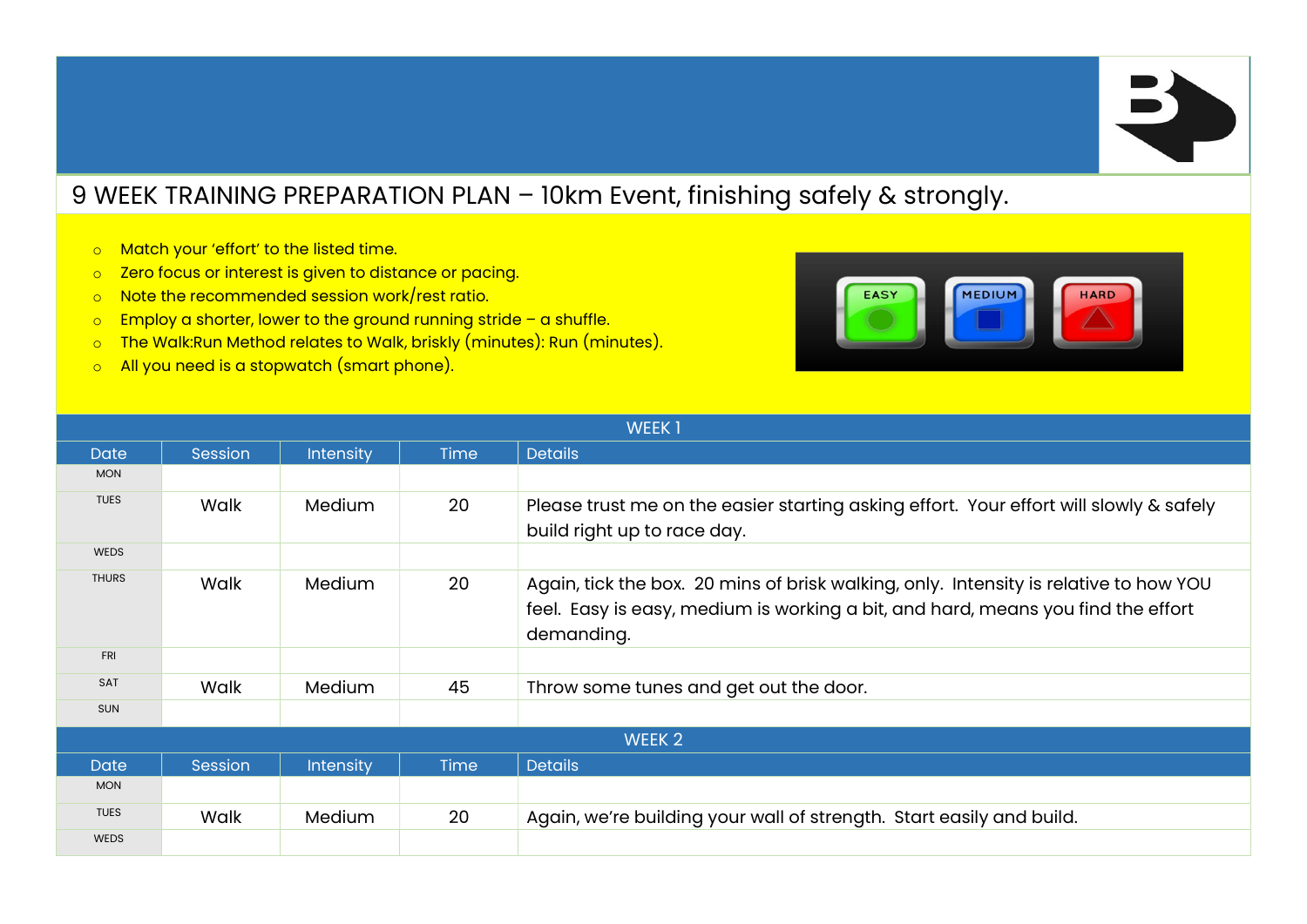## 9 WEEK TRAINING PREPARATION PLAN – 10km Event, finishing safely & strongly.

- o Match your 'effort' to the listed time.
- o Zero focus or interest is given to distance or pacing.
- o Note the recommended session work/rest ratio.
- $\circ$  Employ a shorter, lower to the ground running stride a shuffle.
- o The Walk:Run Method relates to Walk, briskly (minutes): Run (minutes).
- o All you need is a stopwatch (smart phone).



| <b>WEEK1</b>      |         |                  |             |                                                                                                                                                                                         |
|-------------------|---------|------------------|-------------|-----------------------------------------------------------------------------------------------------------------------------------------------------------------------------------------|
| <b>Date</b>       | Session | <b>Intensity</b> | <b>Time</b> | <b>Details</b>                                                                                                                                                                          |
| <b>MON</b>        |         |                  |             |                                                                                                                                                                                         |
| <b>TUES</b>       | Walk    | Medium           | 20          | Please trust me on the easier starting asking effort. Your effort will slowly & safely<br>build right up to race day.                                                                   |
| <b>WEDS</b>       |         |                  |             |                                                                                                                                                                                         |
| <b>THURS</b>      | Walk    | Medium           | 20          | Again, tick the box. 20 mins of brisk walking, only. Intensity is relative to how YOU<br>feel. Easy is easy, medium is working a bit, and hard, means you find the effort<br>demanding. |
| <b>FRI</b>        |         |                  |             |                                                                                                                                                                                         |
| <b>SAT</b>        | Walk    | Medium           | 45          | Throw some tunes and get out the door.                                                                                                                                                  |
| <b>SUN</b>        |         |                  |             |                                                                                                                                                                                         |
| WEEK <sub>2</sub> |         |                  |             |                                                                                                                                                                                         |
| <b>Date</b>       | Session | <b>Intensity</b> | <b>Time</b> | <b>Details</b>                                                                                                                                                                          |
| <b>MON</b>        |         |                  |             |                                                                                                                                                                                         |
| <b>TUES</b>       | Walk    | Medium           | 20          | Again, we're building your wall of strength. Start easily and build.                                                                                                                    |
| <b>WEDS</b>       |         |                  |             |                                                                                                                                                                                         |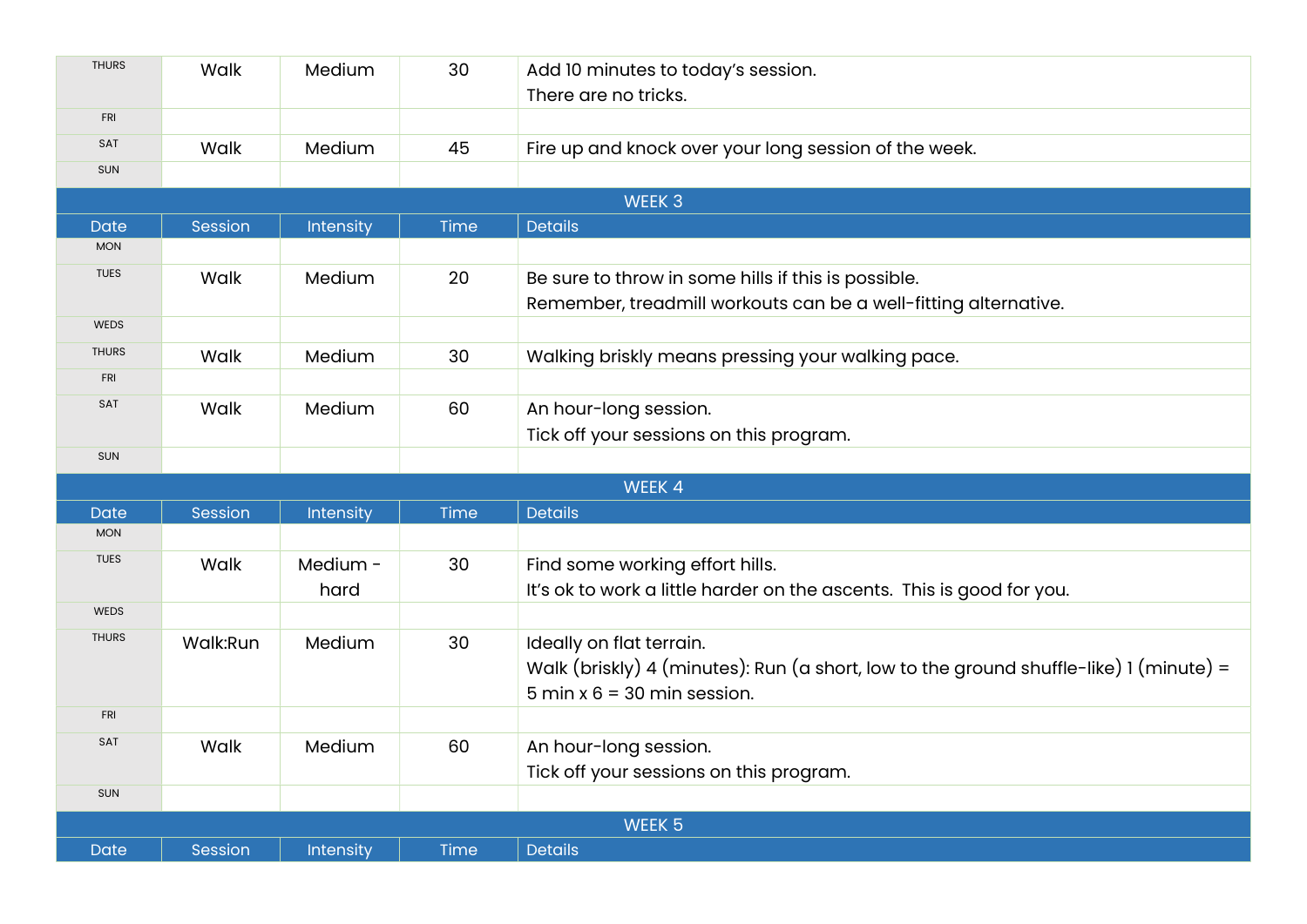| <b>THURS</b>      | Walk     | Medium    | 30   | Add 10 minutes to today's session.<br>There are no tricks.                             |  |  |
|-------------------|----------|-----------|------|----------------------------------------------------------------------------------------|--|--|
| <b>FRI</b>        |          |           |      |                                                                                        |  |  |
| SAT               | Walk     | Medium    | 45   | Fire up and knock over your long session of the week.                                  |  |  |
| SUN               |          |           |      |                                                                                        |  |  |
| WEEK 3            |          |           |      |                                                                                        |  |  |
| <b>Date</b>       | Session  | Intensity | Time | <b>Details</b>                                                                         |  |  |
| <b>MON</b>        |          |           |      |                                                                                        |  |  |
| <b>TUES</b>       | Walk     | Medium    | 20   | Be sure to throw in some hills if this is possible.                                    |  |  |
|                   |          |           |      | Remember, treadmill workouts can be a well-fitting alternative.                        |  |  |
| <b>WEDS</b>       |          |           |      |                                                                                        |  |  |
| <b>THURS</b>      | Walk     | Medium    | 30   | Walking briskly means pressing your walking pace.                                      |  |  |
| <b>FRI</b>        |          |           |      |                                                                                        |  |  |
| SAT               | Walk     | Medium    | 60   | An hour-long session.                                                                  |  |  |
|                   |          |           |      | Tick off your sessions on this program.                                                |  |  |
| SUN               |          |           |      |                                                                                        |  |  |
|                   |          |           |      | WEEK 4                                                                                 |  |  |
| <b>Date</b>       | Session  | Intensity | Time | <b>Details</b>                                                                         |  |  |
| <b>MON</b>        |          |           |      |                                                                                        |  |  |
| <b>TUES</b>       | Walk     | Medium -  | 30   | Find some working effort hills.                                                        |  |  |
|                   |          | hard      |      | It's ok to work a little harder on the ascents. This is good for you.                  |  |  |
| <b>WEDS</b>       |          |           |      |                                                                                        |  |  |
| <b>THURS</b>      | Walk:Run | Medium    | 30   | Ideally on flat terrain.                                                               |  |  |
|                   |          |           |      | Walk (briskly) 4 (minutes): Run (a short, low to the ground shuffle-like) 1 (minute) = |  |  |
|                   |          |           |      | $5$ min x $6 = 30$ min session.                                                        |  |  |
| <b>FRI</b>        |          |           |      |                                                                                        |  |  |
| SAT               | Walk     | Medium    | 60   | An hour-long session.                                                                  |  |  |
|                   |          |           |      | Tick off your sessions on this program.                                                |  |  |
| SUN               |          |           |      |                                                                                        |  |  |
| WEEK <sub>5</sub> |          |           |      |                                                                                        |  |  |
| <b>Date</b>       | Session  | Intensity | Time | <b>Details</b>                                                                         |  |  |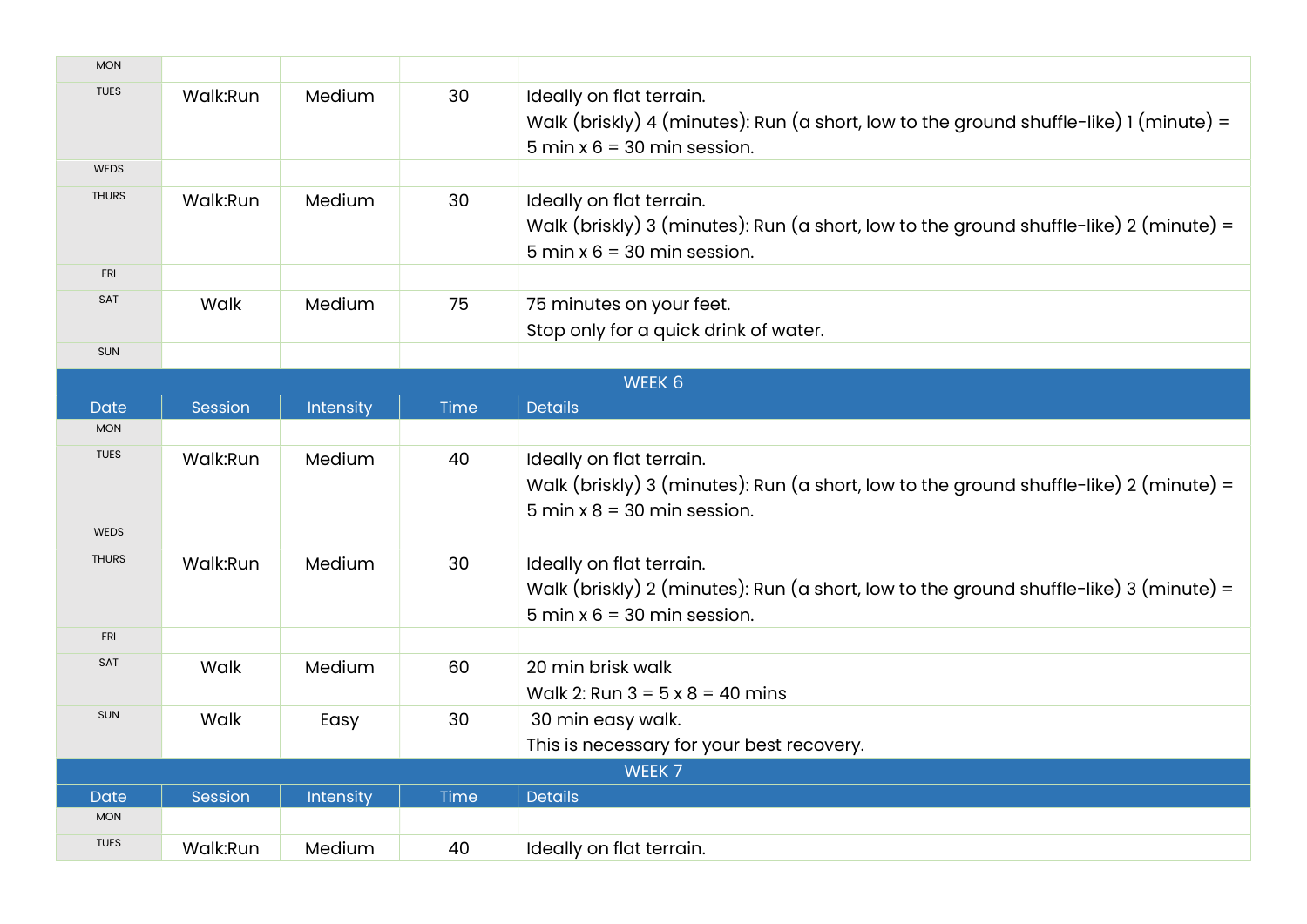| <b>MON</b>   |          |           |             |                                                                                                                                                       |  |  |  |
|--------------|----------|-----------|-------------|-------------------------------------------------------------------------------------------------------------------------------------------------------|--|--|--|
| <b>TUES</b>  | Walk:Run | Medium    | 30          | Ideally on flat terrain.<br>Walk (briskly) 4 (minutes): Run (a short, low to the ground shuffle-like) 1 (minute) =<br>$5$ min x $6 = 30$ min session. |  |  |  |
| <b>WEDS</b>  |          |           |             |                                                                                                                                                       |  |  |  |
| <b>THURS</b> | Walk:Run | Medium    | 30          | Ideally on flat terrain.<br>Walk (briskly) 3 (minutes): Run (a short, low to the ground shuffle-like) 2 (minute) =<br>$5$ min x $6 = 30$ min session. |  |  |  |
| <b>FRI</b>   |          |           |             |                                                                                                                                                       |  |  |  |
| SAT          | Walk     | Medium    | 75          | 75 minutes on your feet.<br>Stop only for a quick drink of water.                                                                                     |  |  |  |
| SUN          |          |           |             |                                                                                                                                                       |  |  |  |
|              | WEEK 6   |           |             |                                                                                                                                                       |  |  |  |
| <b>Date</b>  | Session  | Intensity | Time        | <b>Details</b>                                                                                                                                        |  |  |  |
| <b>MON</b>   |          |           |             |                                                                                                                                                       |  |  |  |
| <b>TUES</b>  | Walk:Run | Medium    | 40          | Ideally on flat terrain.<br>Walk (briskly) 3 (minutes): Run (a short, low to the ground shuffle-like) 2 (minute) =<br>$5$ min x $8 = 30$ min session. |  |  |  |
| <b>WEDS</b>  |          |           |             |                                                                                                                                                       |  |  |  |
| <b>THURS</b> | Walk:Run | Medium    | 30          | Ideally on flat terrain.<br>Walk (briskly) 2 (minutes): Run (a short, low to the ground shuffle-like) 3 (minute) =<br>$5$ min x $6 = 30$ min session. |  |  |  |
| <b>FRI</b>   |          |           |             |                                                                                                                                                       |  |  |  |
| SAT          | Walk     | Medium    | 60          | 20 min brisk walk<br>Walk 2: Run $3 = 5 \times 8 = 40$ mins                                                                                           |  |  |  |
| SUN          | Walk     | Easy      | 30          | 30 min easy walk.<br>This is necessary for your best recovery.                                                                                        |  |  |  |
|              | WEEK 7   |           |             |                                                                                                                                                       |  |  |  |
| <b>Date</b>  | Session  | Intensity | <b>Time</b> | <b>Details</b>                                                                                                                                        |  |  |  |
| <b>MON</b>   |          |           |             |                                                                                                                                                       |  |  |  |
| <b>TUES</b>  | Walk:Run | Medium    | 40          | Ideally on flat terrain.                                                                                                                              |  |  |  |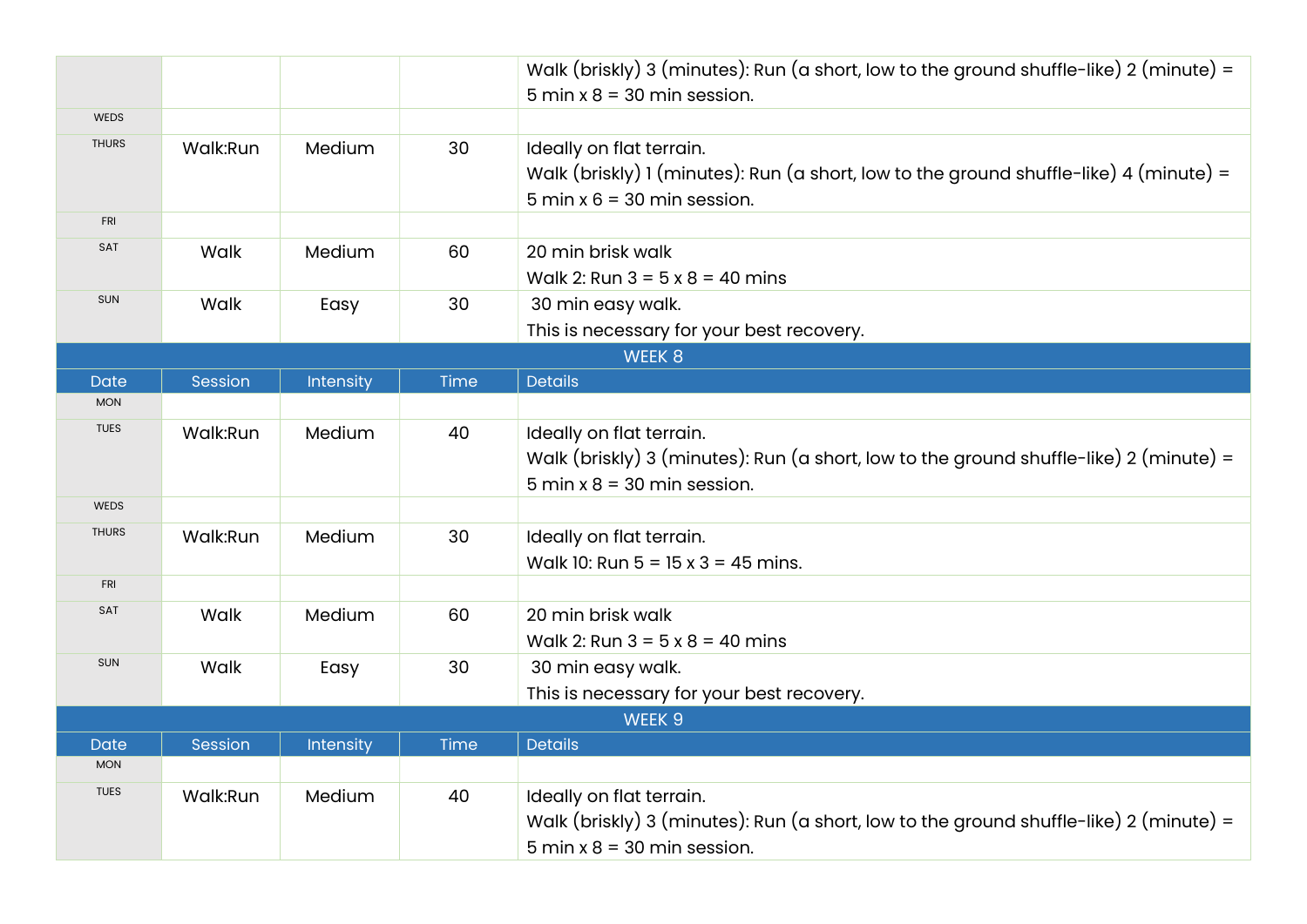|              |          |           |      | Walk (briskly) 3 (minutes): Run (a short, low to the ground shuffle-like) 2 (minute) =                                                                |  |
|--------------|----------|-----------|------|-------------------------------------------------------------------------------------------------------------------------------------------------------|--|
|              |          |           |      | $5$ min x $8 = 30$ min session.                                                                                                                       |  |
| WEDS         |          |           |      |                                                                                                                                                       |  |
| <b>THURS</b> | Walk:Run | Medium    | 30   | Ideally on flat terrain.<br>Walk (briskly) 1 (minutes): Run (a short, low to the ground shuffle-like) 4 (minute) =<br>$5$ min x $6 = 30$ min session. |  |
| <b>FRI</b>   |          |           |      |                                                                                                                                                       |  |
| SAT          | Walk     | Medium    | 60   | 20 min brisk walk<br>Walk 2: Run $3 = 5 \times 8 = 40$ mins                                                                                           |  |
| SUN          | Walk     | Easy      | 30   | 30 min easy walk.                                                                                                                                     |  |
|              |          |           |      | This is necessary for your best recovery.                                                                                                             |  |
|              |          |           |      | WEEK 8                                                                                                                                                |  |
| <b>Date</b>  | Session  | Intensity | Time | <b>Details</b>                                                                                                                                        |  |
| <b>MON</b>   |          |           |      |                                                                                                                                                       |  |
| <b>TUES</b>  | Walk:Run | Medium    | 40   | Ideally on flat terrain.<br>Walk (briskly) 3 (minutes): Run (a short, low to the ground shuffle-like) 2 (minute) =<br>$5$ min x $8 = 30$ min session. |  |
| <b>WEDS</b>  |          |           |      |                                                                                                                                                       |  |
|              |          |           |      |                                                                                                                                                       |  |
| <b>THURS</b> | Walk:Run | Medium    | 30   | Ideally on flat terrain.<br>Walk 10: Run $5 = 15 \times 3 = 45$ mins.                                                                                 |  |
| <b>FRI</b>   |          |           |      |                                                                                                                                                       |  |
| SAT          | Walk     | Medium    | 60   | 20 min brisk walk<br>Walk 2: Run $3 = 5 \times 8 = 40$ mins                                                                                           |  |
| SUN          | Walk     | Easy      | 30   | 30 min easy walk.<br>This is necessary for your best recovery.                                                                                        |  |
| WEEK 9       |          |           |      |                                                                                                                                                       |  |
| Date         | Session  | Intensity | Time | <b>Details</b>                                                                                                                                        |  |
| <b>MON</b>   |          |           |      |                                                                                                                                                       |  |
| <b>TUES</b>  | Walk:Run | Medium    | 40   | Ideally on flat terrain.<br>Walk (briskly) 3 (minutes): Run (a short, low to the ground shuffle-like) 2 (minute) =<br>$5$ min x $8 = 30$ min session. |  |